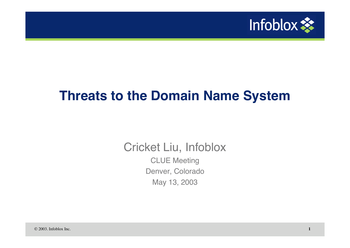

## **Threats to the Domain Name System**

Cricket Liu, Infoblox CLUE Meeting Denver, Colorado May 13, 2003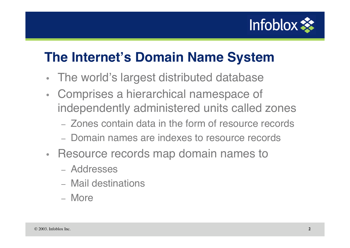

# **The Internet's Domain Name System**

- The world's largest distributed database
- Comprises a hierarchical namespace of independently administered units called zones
	- Zones contain data in the form of resource records
	- Domain names are indexes to resource records
- Resource records map domain names to
	- Addresses
	- Mail destinations
	- More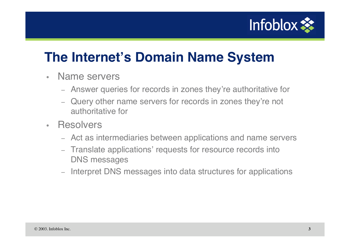

# **The Internet's Domain Name System**

- Name servers
	- Answer queries for records in zones they're authoritative for
	- Query other name servers for records in zones they're not authoritative for
- Resolvers
	- Act as intermediaries between applications and name servers
	- Translate applications' requests for resource records into DNS messages
	- Interpret DNS messages into data structures for applications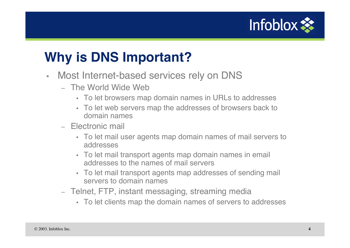

# **Why is DNS Important?**

- Most Internet-based services rely on DNS
	- The World Wide Web
		- To let browsers map domain names in URLs to addresses
		- To let web servers map the addresses of browsers back to domain names
	- Electronic mail
		- To let mail user agents map domain names of mail servers to addresses
		- To let mail transport agents map domain names in email addresses to the names of mail servers
		- To let mail transport agents map addresses of sending mail servers to domain names
	- Telnet, FTP, instant messaging, streaming media
		- To let clients map the domain names of servers to addresses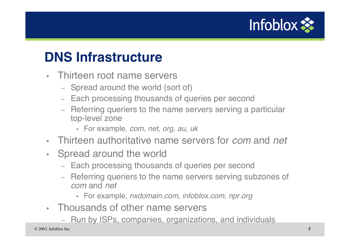

## **DNS Infrastructure**

- Thirteen root name servers
	- Spread around the world (sort of)
	- Each processing thousands of queries per second
	- Referring queriers to the name servers serving a particular top-level zone
		- For example, com, net, org, au, uk
- Thirteen authoritative name servers for *com* and *net*
- Spread around the world
	- Each processing thousands of queries per second
	- Referring queriers to the name servers serving subzones of com and net
		- For example, nxdomain.com, infoblox.com, npr.org
- Thousands of other name servers
	- Run by ISPs, companies, organizations, and individuals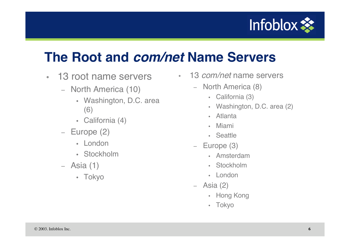

## **The Root and com/net Name Servers**

- 13 root name servers
	- North America (10)
		- Washington, D.C. area (6)
		- California (4)
	- Europe (2)
		- London
		- Stockholm
	- Asia (1)
		- Tokyo
- 13 *com/net* name servers
	- North America (8)
		- California (3)
		- Washington, D.C. area (2)
		- Atlanta
		- Miami
		- Seattle
	- Europe (3)
		- Amsterdam
		- Stockholm
		- London
	- Asia (2)
		- Hong Kong
		- Tokyo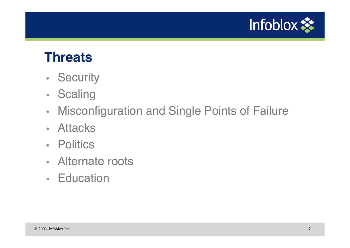

#### **Threats**

- Security
- Scaling
- Misconfiguration and Single Points of Failure
- Attacks
- Politics
- Alternate roots
- Education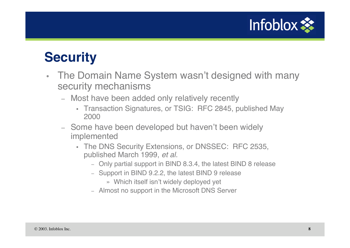

#### **Security**

- The Domain Name System wasn't designed with many security mechanisms
	- Most have been added only relatively recently
		- Transaction Signatures, or TSIG: RFC 2845, published May 2000
	- Some have been developed but haven't been widely implemented
		- The DNS Security Extensions, or DNSSEC: RFC 2535, published March 1999, et al.
			- Only partial support in BIND 8.3.4, the latest BIND 8 release
			- Support in BIND 9.2.2, the latest BIND 9 release
				- » Which itself isn't widely deployed yet
			- Almost no support in the Microsoft DNS Server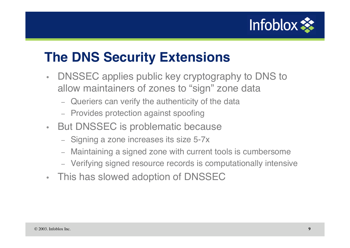

## **The DNS Security Extensions**

- DNSSEC applies public key cryptography to DNS to allow maintainers of zones to "sign" zone data
	- Queriers can verify the authenticity of the data
	- Provides protection against spoofing
- But DNSSEC is problematic because
	- Signing a zone increases its size 5-7x
	- Maintaining a signed zone with current tools is cumbersome
	- Verifying signed resource records is computationally intensive
- This has slowed adoption of DNSSEC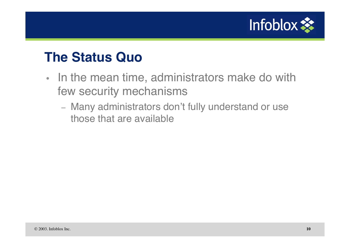

#### **The Status Quo**

- In the mean time, administrators make do with few security mechanisms
	- Many administrators don't fully understand or use those that are available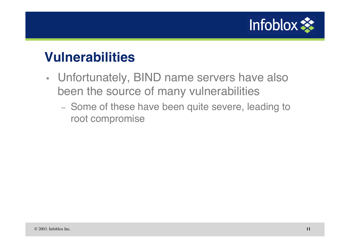

#### **Vulnerabilities**

- Unfortunately, BIND name servers have also been the source of many vulnerabilities
	- Some of these have been quite severe, leading to root compromise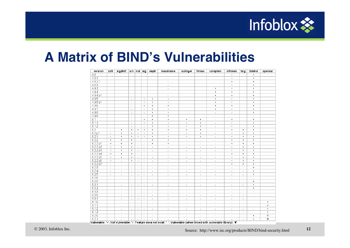

#### **A Matrix of BIND's Vulnerabilities**

| version  | zxfr                             | sigdiv0                          |                          | $srv$   nxt   sig                |                                  | naptr                    | maxdname                                                                                                             | solinger                 | fdmax                            | complain                         | infoleak                         | tsig                     | libbind        | openssi   |
|----------|----------------------------------|----------------------------------|--------------------------|----------------------------------|----------------------------------|--------------------------|----------------------------------------------------------------------------------------------------------------------|--------------------------|----------------------------------|----------------------------------|----------------------------------|--------------------------|----------------|-----------|
| 4.8      |                                  |                                  |                          |                                  |                                  |                          |                                                                                                                      |                          |                                  |                                  | $\ddot{}$                        |                          | $\ddot{}$      |           |
| 4.8.1    |                                  |                                  |                          |                                  |                                  |                          | $\overline{\phantom{a}}$                                                                                             |                          |                                  |                                  | $\begin{array}{c} + \end{array}$ |                          | $+$            |           |
| 4.8.2.1  |                                  |                                  |                          |                                  |                                  |                          | $\sim$                                                                                                               |                          |                                  |                                  | $+$                              |                          | $+$            |           |
| 4.8.3    |                                  |                                  |                          |                                  |                                  |                          | ä,                                                                                                                   |                          |                                  |                                  | $\ddot{}$                        |                          | $+$            |           |
| 4.9.3    |                                  |                                  |                          |                                  |                                  |                          | $\overline{\phantom{a}}$                                                                                             |                          |                                  | $\begin{array}{c} + \end{array}$ | $+$                              |                          | $+$            |           |
| 4.9.4    |                                  |                                  |                          |                                  |                                  |                          | $\overline{\phantom{a}}$                                                                                             |                          |                                  | $+$                              | $+$                              |                          | $+$            |           |
| 4.9.4 p1 |                                  |                                  |                          |                                  |                                  |                          | ÷,                                                                                                                   |                          |                                  | $\qquad \qquad +$                | $\ddot{}$                        |                          | $+$            |           |
| 4.9.5    |                                  |                                  | $\sim$                   |                                  | $\begin{array}{c} + \end{array}$ | $+$                      | $\,$ +                                                                                                               |                          |                                  | $\begin{array}{c} + \end{array}$ | $\begin{array}{c} + \end{array}$ |                          | $+$            |           |
| 4.9.5 p1 |                                  |                                  | $\sim$                   |                                  | $+$                              | $+$                      | $+$                                                                                                                  |                          |                                  | $+$                              | $+$                              |                          | $+$            |           |
| 4.9.6    |                                  |                                  | $\sim$                   |                                  | $+$                              | $+$                      | $\ddot{}$                                                                                                            |                          |                                  | $\ddot{}$                        | $+$                              |                          | $+$            |           |
| 4.9.7    |                                  |                                  | $\sim$                   |                                  | $\sim$                           | $+$                      | $\ddot{}$                                                                                                            |                          |                                  | $+$                              | $+$                              |                          | $+$            |           |
| 4.9.8    |                                  |                                  | $\sim$                   |                                  | $\sim$                           | $+$                      | $\ddot{}$                                                                                                            |                          |                                  | $\sim$                           | $\overline{\phantom{a}}$         |                          | $+$            |           |
| 4.9.9    |                                  |                                  | $\sim$                   |                                  | ÷                                | $+$                      | $\ddot{}$                                                                                                            |                          |                                  | $\sim$                           | $\overline{a}$                   |                          | $\sim$         |           |
| 8.1      |                                  |                                  | $\mathcal{L}$            |                                  | $+$                              | $+$                      | $+$                                                                                                                  | $+$                      | $+$                              | $\sim$                           | $+$                              |                          | $+$            |           |
| 8.1.1    |                                  |                                  | $\sim$                   |                                  | $\ddot{}$                        | $+$                      | $\ddot{}$                                                                                                            | $+$                      | $\ddot{}$                        | $\sim$                           | $\ddot{}$                        |                          | $+$            |           |
| 8.1.2    |                                  |                                  | $\sim$                   |                                  | $\sim$                           | $\ddot{}$                | $\ddot{}$                                                                                                            | $+$                      | $\ddot{}$                        | $\sim$                           | $+$                              |                          | $+$            |           |
| 8.2      | $\overline{\phantom{a}}$         | $\ddot{}$                        | $+$                      | $+$                              | $+$                              | $+$                      | $+$                                                                                                                  | $+$                      | $+$                              | $\overline{\phantom{a}}$         | $\ddot{}$                        | $\color{red}{+}$         | $+$            |           |
| 8.2 p1   | $\overline{\phantom{a}}$         | $\begin{array}{c} + \end{array}$ | $\ddot{}$                | $\begin{array}{c} + \end{array}$ | $+$                              | $\ddot{}$                | $\ddot{}$                                                                                                            | $+$                      | $\begin{array}{c} + \end{array}$ | $\overline{\phantom{a}}$         | $\ddot{}$                        | $+$                      | $+$            |           |
| 8.2.1    | $\sim$                           | $\ddot{}$                        | $\ddot{}$                | $+$                              | $+$                              | $+$                      | $+$                                                                                                                  | $+$                      | $+$                              | $\overline{a}$                   | $+$                              | $+$                      | $+$            |           |
| 8.2.2    | $+$                              | $+$                              | $+$                      | ÷                                | $\sim$                           | $+$                      | $+$                                                                                                                  | $\sim$                   | $\sim$                           | ÷                                | $+$                              | $\ddot{}$                | $+$            |           |
| 8.2.2 p1 | $\begin{array}{c} + \end{array}$ | $\ddot{}$                        | $\ddot{}$                | $\sim$                           | $\sim$                           | $\ddot{}$                | $\ddot{}$                                                                                                            | $\overline{\phantom{a}}$ | $\sim$                           | $\sim$                           | $\ddot{}$                        | $+$                      | $+$            |           |
| 8.2.2 p2 | $+$                              | $\ddot{}$                        | $+$                      | $\sim$                           | $\sim$                           | $\overline{a}$           | $\sim$                                                                                                               | $\sim$                   | $\overline{\phantom{a}}$         | $\overline{\phantom{a}}$         | $\ddot{}$                        | $+$                      | $+$            |           |
| 8.2.2 p3 | $+$                              | $\ddot{}$                        | $+$                      | $\sim$                           | $\sim$                           | $\overline{\phantom{a}}$ | $\sim$                                                                                                               | $\sim$                   | $\sim$                           | $\sim$                           | $\ddot{}$                        | $+$                      | $+$            |           |
| 8.2.2 p4 | $+$                              | $\ddot{}$                        | $\ddot{}$                | $\sim$                           | $\sim$                           | $\overline{\phantom{a}}$ | $\overline{\phantom{a}}$                                                                                             | $\overline{\phantom{a}}$ | $\overline{\phantom{a}}$         | $\overline{\phantom{a}}$         | $\ddot{}$                        | $+$                      | $+$            |           |
| 8.2.2 p5 | $+$                              | $\ddot{}$                        | $+$                      | $\sim$                           | $\sim$                           | $\sim$                   | $\sim$                                                                                                               | $\overline{\phantom{a}}$ | $\overline{\phantom{a}}$         | $\overline{\phantom{a}}$         | $\ddot{}$                        | $\ddot{}$                | $+$            |           |
| 8.2.2 p6 | $+$                              | $\sim$                           | $+$                      | $\sim$                           | $\mathcal{L}$                    | $\sim$                   | $\sim$                                                                                                               | $\sim$                   | $\sim$                           | $\sim$                           | $\ddot{}$                        | $\color{red}{+}$         | $+$            |           |
| 8.2.2 p7 | $\overline{\phantom{a}}$         | $\sim$                           | $\sim$                   | $\overline{\phantom{a}}$         | $\sim$                           | $\overline{\phantom{a}}$ | $\overline{\phantom{a}}$                                                                                             | $\overline{\phantom{a}}$ | $\overline{\phantom{a}}$         | $\overline{\phantom{a}}$         | $\ddot{}$                        | $+$                      | $+$            |           |
| 8.2.3    | $\overline{\phantom{a}}$         | $\overline{a}$                   | $\sim$                   | $\sim$                           | $\sim$                           | $\overline{a}$           | $\overline{a}$                                                                                                       | $\overline{a}$           | $\sim$                           | $\sim$                           | $\sim$                           | $\overline{a}$           | $+$            |           |
| 8.2.4    | $\sim$                           | $\sim$                           | $\sim$                   | $\sim$                           | $\mathcal{L}$                    | $\sim$                   | $\overline{a}$                                                                                                       | $\sim$                   | $\sim$                           | $\sim$                           | ÷                                | $\sim$                   | $+$            |           |
| 8.2.5    | $\overline{\phantom{a}}$         | $\overline{\phantom{a}}$         | $\sim$                   | $\overline{\phantom{a}}$         | $\sim$                           | $\overline{\phantom{a}}$ | $\sim$                                                                                                               | $\overline{\phantom{a}}$ | $\sim$                           | $\sim$                           | ÷                                | $\overline{a}$           | $\ddot{}$      |           |
| 8.2.6    | $\overline{\phantom{a}}$         | $\overline{a}$                   | $\sim$                   | ٠                                | $\sim$                           | ÷                        | $\overline{\phantom{a}}$                                                                                             | ٠                        | $\sim$                           | $\overline{\phantom{a}}$         | ٠                                | $\overline{\phantom{a}}$ | ٠              |           |
| 8.3.0    |                                  | $\sim$                           | $\sim$                   | ÷.                               | $\mathcal{L}$                    | ÷.                       | $\sim$                                                                                                               | $\sim$                   | $\sim$                           | $\sim$                           | ÷                                | $\sim$                   | $+$            |           |
| 8.3.1    |                                  | $\sim$                           | $\sim$                   | ÷.                               | $\sim$                           | ÷.                       | $\sim$                                                                                                               | $\mathbf{r}$             | $\sim$                           | $\sim$                           | ÷                                | $\sim$                   | $+$            |           |
| 8.3.2    |                                  | $\sim$                           | $\sim$                   | $\sim$                           | $\sim$                           | $\overline{\phantom{a}}$ | $\sim$                                                                                                               | $\sim$                   | $\sim$                           | $\sim$                           | ÷                                | $\sim$                   | $+$            |           |
| 8.3.3    |                                  | $\overline{\phantom{a}}$         | $\overline{\phantom{a}}$ | $\sim$                           | ÷.                               | $\sim$                   | $\sim$                                                                                                               | $\sim$                   | $\sim$                           | $\sim$                           | ÷                                | $\overline{\phantom{a}}$ | $\overline{a}$ |           |
| 9.0.0    |                                  | $\sim$                           | $\mathbf{r}$             | $\sim$                           | $\sim$                           | $\overline{\phantom{a}}$ | $\sim$                                                                                                               | $\sim$                   | $\sim$                           | $\sim$                           | ÷.                               | $\sim$                   |                |           |
| 9.0.1    |                                  | $\overline{\phantom{a}}$         | $\sim$                   | ä,                               | $\mathbf{r}$                     | $\sim$                   | $\sim$                                                                                                               | $\mathbf{r}$             | $\sim$                           | $\sim$                           | ÷                                | $\sim$                   |                |           |
| 9.1.0    |                                  | $\sim$                           | $\sim$                   | $\omega$                         | $\mathbf{r}$                     | $\overline{\phantom{a}}$ | $\overline{a}$                                                                                                       | $\mathbf{r}$             | $\overline{\phantom{a}}$         | $\sim$                           | ÷.                               | $\sim$                   |                | $\ddot{}$ |
| 9.1.1    |                                  | $\sim$                           | $\sim$                   | $\sim$                           | $\sim$                           | $\blacksquare$           | $\overline{\phantom{a}}$                                                                                             | $\blacksquare$           | $\sim$                           | $\omega$                         | $\blacksquare$                   | $\sim$                   |                | $\ddot{}$ |
| 9.1.2    |                                  | $\blacksquare$                   | $\sim$                   | ÷.                               | $\mathbf{r}$                     | $\sim$                   | $\overline{\phantom{a}}$                                                                                             | $\mathbf{r}$             | $\mathbf{r}$                     | $\sim$                           | ÷.                               | $\sim$                   |                | $+$       |
| 9.1.3    |                                  | $\overline{a}$                   | $\sim$                   | х.                               | $\sim$                           | $\sim$                   | $\sim$                                                                                                               | $\omega$                 | $\blacksquare$                   | $\sim$                           | ÷.                               | $\sim$                   |                | $\ddot{}$ |
| 9.2.0    |                                  | $\sim$                           | $\sim$                   | $\sim$                           | $\sim$                           | $\sim$                   | $\sim$                                                                                                               | $\mathbf{r}$             | $\omega$                         | $\sim$                           | ÷.                               | $\sim$                   | $+$            | $\#$      |
| 9.2.1    |                                  |                                  | $\sim$                   | $\omega$                         | $\mathbf{r}$                     | $\sim$                   | $\sim$                                                                                                               |                          |                                  |                                  |                                  | $\omega$                 | $+$            | #         |
|          |                                  |                                  |                          |                                  |                                  |                          | Vulnerable: '+' Not Vulnerable: '.' Feature does not evist: ' ' Vulnerable (when linked with vulnerable librand: '#' |                          |                                  |                                  |                                  |                          |                |           |

Vulnerable: '+', Not Vulnerable: ' ', Feature does not exist ', Vulnerable (when linked with vulnerable library): '*i*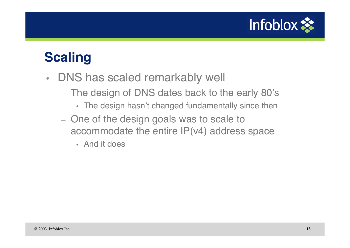

## **Scaling**

- DNS has scaled remarkably well
	- The design of DNS dates back to the early 80's
		- The design hasn't changed fundamentally since then
	- One of the design goals was to scale to accommodate the entire IP(v4) address space
		- And it does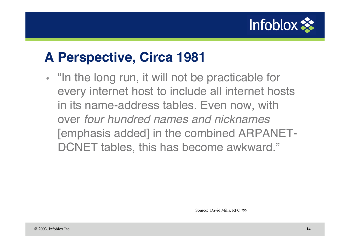

# **A Perspective, Circa 1981**

• "In the long run, it will not be practicable for every internet host to include all internet hosts in its name-address tables. Even now, with over four hundred names and nicknames [emphasis added] in the combined ARPANET-DCNET tables, this has become awkward."

Source: David Mills, RFC 799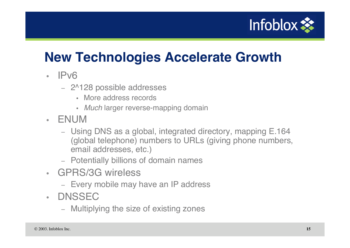

# **New Technologies Accelerate Growth**

- IPv6
	- 2^128 possible addresses
		- More address records
		- Much larger reverse-mapping domain
- ENUM
	- Using DNS as a global, integrated directory, mapping E.164 (global telephone) numbers to URLs (giving phone numbers, email addresses, etc.)
	- Potentially billions of domain names
- GPRS/3G wireless
	- Every mobile may have an IP address
- DNSSEC
	- Multiplying the size of existing zones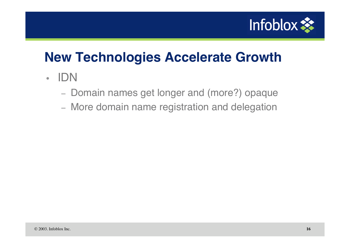

# **New Technologies Accelerate Growth**

- IDN
	- Domain names get longer and (more?) opaque
	- More domain name registration and delegation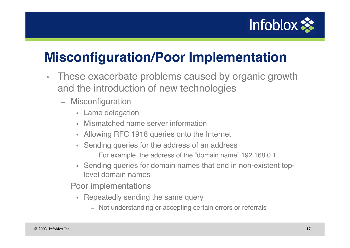

# **Misconfiguration/Poor Implementation**

- These exacerbate problems caused by organic growth and the introduction of new technologies
	- Misconfiguration
		- Lame delegation
		- Mismatched name server information
		- Allowing RFC 1918 queries onto the Internet
		- Sending queries for the address of an address
			- For example, the address of the "domain name" 192.168.0.1
		- Sending queries for domain names that end in non-existent toplevel domain names
	- Poor implementations
		- Repeatedly sending the same query
			- Not understanding or accepting certain errors or referrals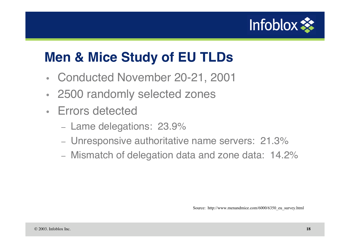

## **Men & Mice Study of EU TLDs**

- Conducted November 20-21, 2001
- 2500 randomly selected zones
- Errors detected
	- Lame delegations: 23.9%
	- Unresponsive authoritative name servers: 21.3%
	- Mismatch of delegation data and zone data: 14.2%

Source: http://www.menandmice.com/6000/6350\_eu\_survey.html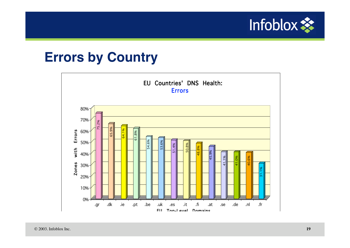

#### **Errors by Country**

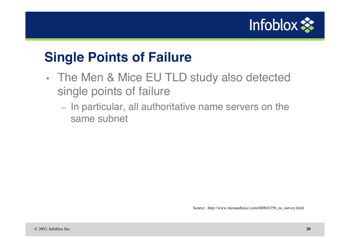

## **Single Points of Failure**

- The Men & Mice EU TLD study also detected single points of failure
	- In particular, all authoritative name servers on the same subnet

Source: http://www.menandmice.com/6000/6350\_eu\_survey.html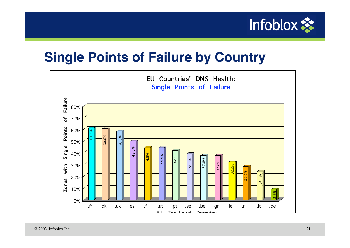

## **Single Points of Failure by Country**

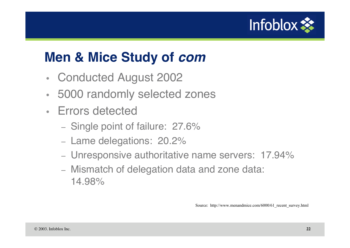

# **Men & Mice Study of com**

- Conducted August 2002
- 5000 randomly selected zones
- Errors detected
	- Single point of failure: 27.6%
	- Lame delegations: 20.2%
	- Unresponsive authoritative name servers: 17.94%
	- Mismatch of delegation data and zone data: 14.98%

Source: http://www.menandmice.com/6000/61 recent survey.html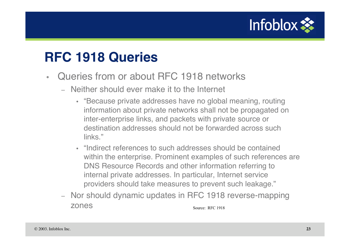

#### **RFC 1918 Queries**

- Queries from or about RFC 1918 networks
	- Neither should ever make it to the Internet
		- "Because private addresses have no global meaning, routing information about private networks shall not be propagated on inter-enterprise links, and packets with private source or destination addresses should not be forwarded across such links."
		- "Indirect references to such addresses should be contained within the enterprise. Prominent examples of such references are DNS Resource Records and other information referring to internal private addresses. In particular, Internet service providers should take measures to prevent such leakage."
	- Nor should dynamic updates in RFC 1918 reverse-mapping zones Source: RFC 1918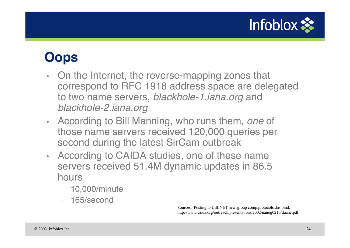

## **Oops**

- On the Internet, the reverse-mapping zones that correspond to RFC 1918 address space are delegated to two name servers, blackhole-1.iana.org and blackhole-2.iana.org
- According to Bill Manning, who runs them, one of those name servers received 120,000 queries per second during the latest SirCam outbreak
- According to CAIDA studies, one of these name servers received 51.4M dynamic updates in 86.5 hours
	- 10,000/minute
	- 165/second

Sources: Posting to USENET newsgroup comp.protocols.dns.bind, http://www.caida.org/outreach/presentations/2002/nanog0210/duane.pdf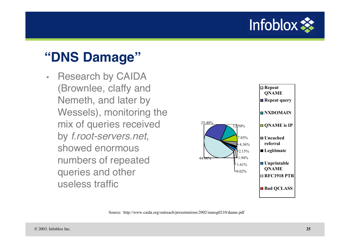

#### **"DNS Damage"**

• Research by CAIDA (Brownlee, claffy and Nemeth, and later by Wessels), monitoring the mix of queries received by f.root-servers.net, showed enormous numbers of repeated queries and other useless traffic



Source: http://www.caida.org/outreach/presentations/2002/nanog0210/duane.pdf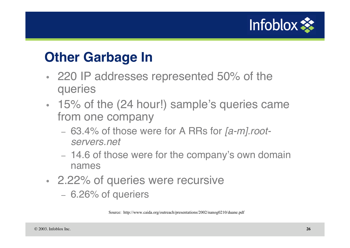

#### **Other Garbage In**

- 220 IP addresses represented 50% of the queries
- 15% of the (24 hour!) sample's queries came from one company
	- 63.4% of those were for A RRs for [a-m].rootservers.net
	- 14.6 of those were for the company's own domain names
- 2.22% of queries were recursive
	- 6.26% of queriers

Source: http://www.caida.org/outreach/presentations/2002/nanog0210/duane.pdf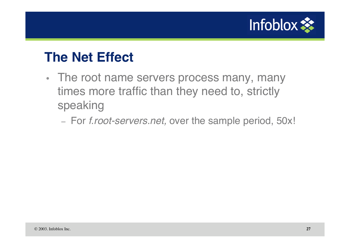

#### **The Net Effect**

- The root name servers process many, many times more traffic than they need to, strictly speaking
	- For f.root-servers.net, over the sample period, 50x!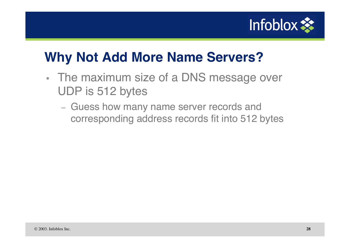

## **Why Not Add More Name Servers?**

- The maximum size of a DNS message over UDP is 512 bytes
	- Guess how many name server records and corresponding address records fit into 512 bytes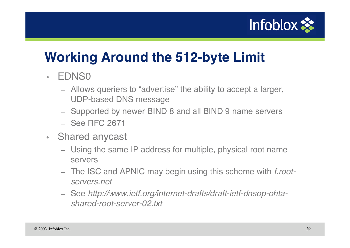

# **Working Around the 512-byte Limit**

#### • EDNS0

- Allows queriers to "advertise" the ability to accept a larger, UDP-based DNS message
- Supported by newer BIND 8 and all BIND 9 name servers
- See RFC 2671
- Shared anycast
	- Using the same IP address for multiple, physical root name servers
	- The ISC and APNIC may begin using this scheme with *f.root*servers.net
	- See http://www.ietf.org/internet-drafts/draft-ietf-dnsop-ohtashared-root-server-02.txt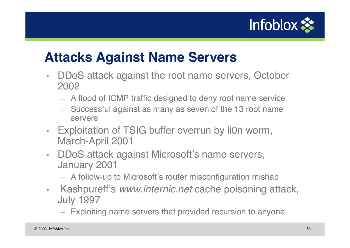

## **Attacks Against Name Servers**

- DDoS attack against the root name servers, October 2002
	- A flood of ICMP traffic designed to deny root name service
	- Successful against as many as seven of the 13 root name servers
- Exploitation of TSIG buffer overrun by li0n worm, March-April 2001
- DDoS attack against Microsoft's name servers, January 2001
	- A follow-up to Microsoft's router misconfiguration mishap
- Kashpureff's www.internic.net cache poisoning attack, July 1997
	- Exploiting name servers that provided recursion to anyone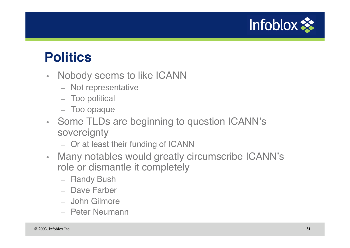

#### **Politics**

- Nobody seems to like ICANN
	- Not representative
	- Too political
	- Too opaque
- Some TLDs are beginning to question ICANN's sovereignty
	- Or at least their funding of ICANN
- Many notables would greatly circumscribe ICANN's role or dismantle it completely
	- Randy Bush
	- Dave Farber
	- John Gilmore
	- Peter Neumann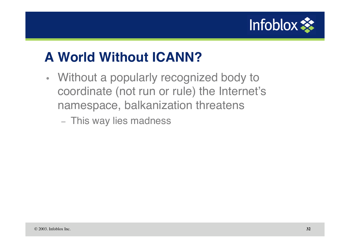

# **A World Without ICANN?**

- Without a popularly recognized body to coordinate (not run or rule) the Internet's namespace, balkanization threatens
	- This way lies madness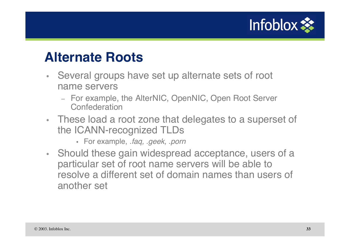

#### **Alternate Roots**

- Several groups have set up alternate sets of root name servers
	- For example, the AlterNIC, OpenNIC, Open Root Server **Confederation**
- These load a root zone that delegates to a superset of the ICANN-recognized TLDs
	- For example, .faq, .geek, .porn
- Should these gain widespread acceptance, users of a particular set of root name servers will be able to resolve a different set of domain names than users of another set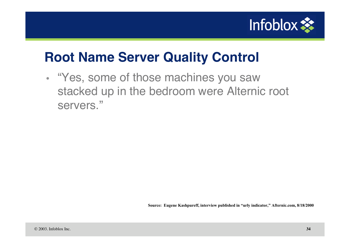

#### **Root Name Server Quality Control**

• "Yes, some of those machines you saw stacked up in the bedroom were Alternic root servers."

**Source: Eugene Kashpureff, interview published in "urly indicator," Afternic.com, 8/18/2000**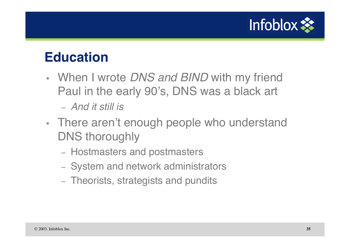

#### **Education**

• When I wrote DNS and BIND with my friend Paul in the early 90's, DNS was a black art

– And it still is

- There aren't enough people who understand DNS thoroughly
	- Hostmasters and postmasters
	- System and network administrators
	- Theorists, strategists and pundits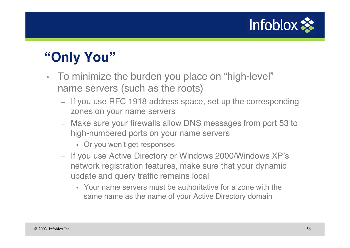

## **"Only You"**

- To minimize the burden you place on "high-level" name servers (such as the roots)
	- If you use RFC 1918 address space, set up the corresponding zones on your name servers
	- Make sure your firewalls allow DNS messages from port 53 to high-numbered ports on your name servers
		- Or you won't get responses
	- If you use Active Directory or Windows 2000/Windows XP's network registration features, make sure that your dynamic update and query traffic remains local
		- Your name servers must be authoritative for a zone with the same name as the name of your Active Directory domain